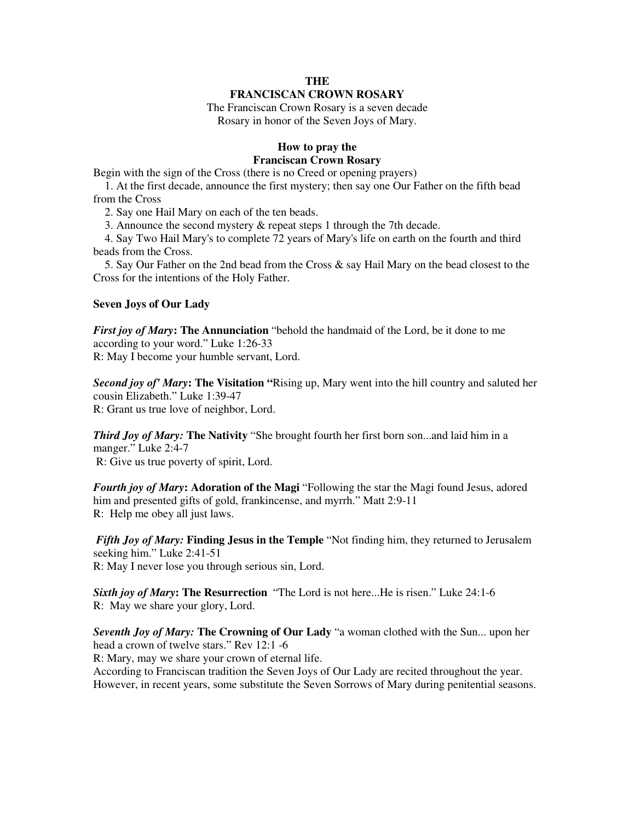# **THE FRANCISCAN CROWN ROSARY**

The Franciscan Crown Rosary is a seven decade Rosary in honor of the Seven Joys of Mary.

# **How to pray the Franciscan Crown Rosary**

Begin with the sign of the Cross (there is no Creed or opening prayers)

 1. At the first decade, announce the first mystery; then say one Our Father on the fifth bead from the Cross

2. Say one Hail Mary on each of the ten beads.

3. Announce the second mystery & repeat steps 1 through the 7th decade.

 4. Say Two Hail Mary's to complete 72 years of Mary's life on earth on the fourth and third beads from the Cross.

 5. Say Our Father on the 2nd bead from the Cross & say Hail Mary on the bead closest to the Cross for the intentions of the Holy Father.

## **Seven Joys of Our Lady**

*First joy of Mary***: The Annunciation** "behold the handmaid of the Lord, be it done to me according to your word." Luke 1:26-33 R: May I become your humble servant, Lord.

*Second joy of' Mary***: The Visitation "**Rising up, Mary went into the hill country and saluted her cousin Elizabeth." Luke 1:39-47 R: Grant us true love of neighbor, Lord.

*Third Joy of Mary:* **The Nativity** "She brought fourth her first born son...and laid him in a manger." Luke 2:4-7 R: Give us true poverty of spirit, Lord.

*Fourth joy of Mary***: Adoration of the Magi** "Following the star the Magi found Jesus, adored him and presented gifts of gold, frankincense, and myrrh." Matt 2:9-11 R: Help me obey all just laws.

*Fifth Joy of Mary:* **Finding Jesus in the Temple** "Not finding him, they returned to Jerusalem seeking him." Luke 2:41-51 R: May I never lose you through serious sin, Lord.

*Sixth joy of Mary***: The Resurrection** "The Lord is not here...He is risen." Luke 24:1-6 R: May we share your glory, Lord.

*Seventh Joy of Mary:* **The Crowning of Our Lady** "a woman clothed with the Sun... upon her head a crown of twelve stars." Rev 12:1 -6

R: Mary, may we share your crown of eternal life.

According to Franciscan tradition the Seven Joys of Our Lady are recited throughout the year. However, in recent years, some substitute the Seven Sorrows of Mary during penitential seasons.